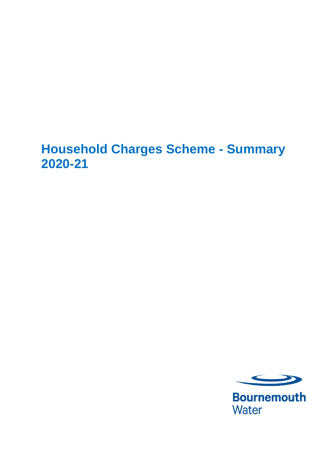## **Household Charges Scheme - Summary 2020-21**



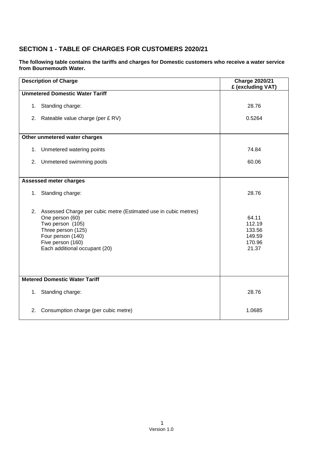## **SECTION 1 - TABLE OF CHARGES FOR CUSTOMERS 2020/21**

**The following table contains the tariffs and charges for Domestic customers who receive a water service from Bournemouth Water.** 

| <b>Description of Charge</b>         |                                                                                                                                                                                                         | <b>Charge 2020/21</b><br>£ (excluding VAT)             |  |  |  |
|--------------------------------------|---------------------------------------------------------------------------------------------------------------------------------------------------------------------------------------------------------|--------------------------------------------------------|--|--|--|
|                                      | <b>Unmetered Domestic Water Tariff</b>                                                                                                                                                                  |                                                        |  |  |  |
|                                      | 1. Standing charge:                                                                                                                                                                                     | 28.76                                                  |  |  |  |
|                                      | 2. Rateable value charge (per £ RV)                                                                                                                                                                     | 0.5264                                                 |  |  |  |
|                                      | Other unmetered water charges                                                                                                                                                                           |                                                        |  |  |  |
| 1.                                   | Unmetered watering points                                                                                                                                                                               | 74.84                                                  |  |  |  |
| 2.                                   | Unmetered swimming pools                                                                                                                                                                                | 60.06                                                  |  |  |  |
|                                      | <b>Assessed meter charges</b>                                                                                                                                                                           |                                                        |  |  |  |
|                                      | 1. Standing charge:                                                                                                                                                                                     | 28.76                                                  |  |  |  |
| 2.                                   | Assessed Charge per cubic metre (Estimated use in cubic metres)<br>One person (60)<br>Two person (105)<br>Three person (125)<br>Four person (140)<br>Five person (160)<br>Each additional occupant (20) | 64.11<br>112.19<br>133.56<br>149.59<br>170.96<br>21.37 |  |  |  |
| <b>Metered Domestic Water Tariff</b> |                                                                                                                                                                                                         |                                                        |  |  |  |
|                                      | 1. Standing charge:                                                                                                                                                                                     | 28.76                                                  |  |  |  |
| 2.                                   | Consumption charge (per cubic metre)                                                                                                                                                                    | 1.0685                                                 |  |  |  |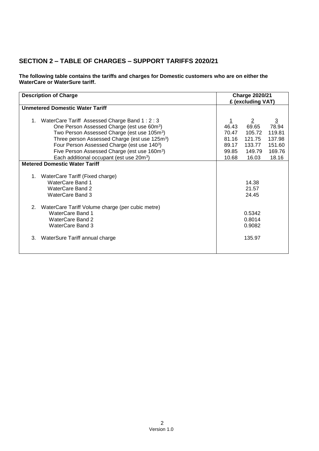## **SECTION 2 – TABLE OF CHARGES – SUPPORT TARIFFS 2020/21**

**The following table contains the tariffs and charges for Domestic customers who are on either the WaterCare or WaterSure tariff.** 

| <b>Description of Charge</b>                              |       | <b>Charge 2020/21</b><br>£ (excluding VAT) |                |
|-----------------------------------------------------------|-------|--------------------------------------------|----------------|
| <b>Unmetered Domestic Water Tariff</b>                    |       |                                            |                |
| 1. WaterCare Tariff Assessed Charge Band 1: 2: 3          |       | $\overline{2}$                             | $\overline{3}$ |
| One Person Assessed Charge (est use 60m <sup>3</sup> )    | 46.43 | 69.65                                      | 78.94          |
| Two Person Assessed Charge (est use 105m <sup>3</sup> )   | 70.47 | 105.72                                     | 119.81         |
| Three person Assessed Charge (est use 125m <sup>3</sup> ) | 81.16 | 121.75                                     | 137.98         |
| Four Person Assessed Charge (est use 1403)                | 89.17 | 133.77                                     | 151.60         |
| Five Person Assessed Charge (est use 160m <sup>3</sup> )  | 99.85 | 149.79                                     | 169.76         |
| Each additional occupant (est use 20m <sup>3</sup> )      | 10.68 | 16.03                                      | 18.16          |
| <b>Metered Domestic Water Tariff</b>                      |       |                                            |                |
|                                                           |       |                                            |                |
| 1. WaterCare Tariff (Fixed charge)                        |       |                                            |                |
| <b>WaterCare Band 1</b>                                   |       | 14.38                                      |                |
| WaterCare Band 2                                          |       | 21.57                                      |                |
| WaterCare Band 3                                          |       | 24.45                                      |                |
|                                                           |       |                                            |                |
| WaterCare Tariff Volume charge (per cubic metre)<br>2.    |       |                                            |                |
| <b>WaterCare Band 1</b>                                   |       | 0.5342                                     |                |
| <b>WaterCare Band 2</b>                                   |       | 0.8014                                     |                |
| WaterCare Band 3                                          |       | 0.9082                                     |                |
|                                                           |       |                                            |                |
| 3.<br>WaterSure Tariff annual charge                      |       | 135.97                                     |                |
|                                                           |       |                                            |                |
|                                                           |       |                                            |                |